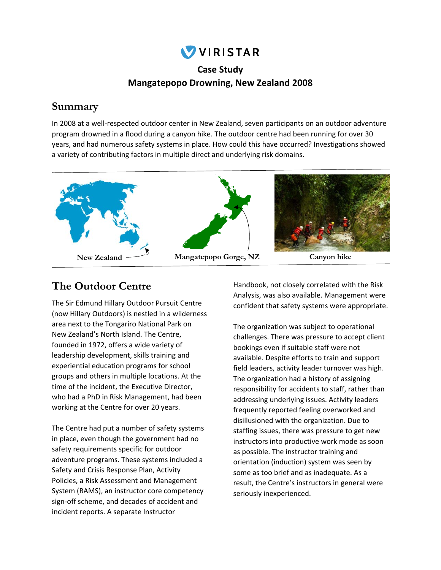

### **Case Study Mangatepopo Drowning, New Zealand 2008**

## **Summary**

In 2008 at a well-respected outdoor center in New Zealand, seven participants on an outdoor adventure program drowned in a flood during a canyon hike. The outdoor centre had been running for over 30 years, and had numerous safety systems in place. How could this have occurred? Investigations showed a variety of contributing factors in multiple direct and underlying risk domains.



## **The Outdoor Centre**

The Sir Edmund Hillary Outdoor Pursuit Centre (now Hillary Outdoors) is nestled in a wilderness area next to the Tongariro National Park on New Zealand's North Island. The Centre, founded in 1972, offers a wide variety of leadership development, skills training and experiential education programs for school groups and others in multiple locations. At the time of the incident, the Executive Director, who had a PhD in Risk Management, had been working at the Centre for over 20 years.

The Centre had put a number of safety systems in place, even though the government had no safety requirements specific for outdoor adventure programs. These systems included a Safety and Crisis Response Plan, Activity Policies, a Risk Assessment and Management System (RAMS), an instructor core competency sign‐off scheme, and decades of accident and incident reports. A separate Instructor

Handbook, not closely correlated with the Risk Analysis, was also available. Management were confident that safety systems were appropriate.

The organization was subject to operational challenges. There was pressure to accept client bookings even if suitable staff were not available. Despite efforts to train and support field leaders, activity leader turnover was high. The organization had a history of assigning responsibility for accidents to staff, rather than addressing underlying issues. Activity leaders frequently reported feeling overworked and disillusioned with the organization. Due to staffing issues, there was pressure to get new instructors into productive work mode as soon as possible. The instructor training and orientation (induction) system was seen by some as too brief and as inadequate. As a result, the Centre's instructors in general were seriously inexperienced.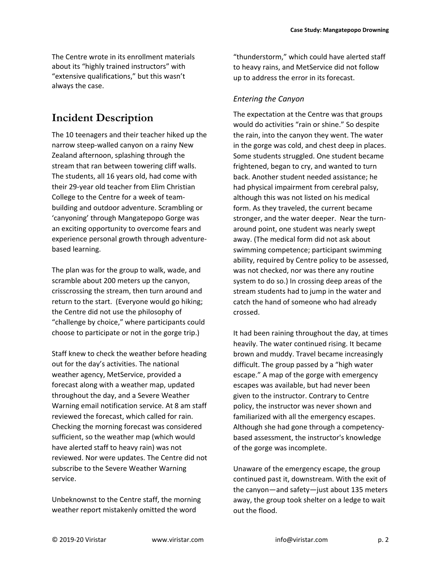The Centre wrote in its enrollment materials about its "highly trained instructors" with "extensive qualifications," but this wasn't always the case.

# **Incident Description**

The 10 teenagers and their teacher hiked up the narrow steep‐walled canyon on a rainy New Zealand afternoon, splashing through the stream that ran between towering cliff walls. The students, all 16 years old, had come with their 29‐year old teacher from Elim Christian College to the Centre for a week of team‐ building and outdoor adventure. Scrambling or 'canyoning' through Mangatepopo Gorge was an exciting opportunity to overcome fears and experience personal growth through adventure‐ based learning.

The plan was for the group to walk, wade, and scramble about 200 meters up the canyon, crisscrossing the stream, then turn around and return to the start. (Everyone would go hiking; the Centre did not use the philosophy of "challenge by choice," where participants could choose to participate or not in the gorge trip.)

Staff knew to check the weather before heading out for the day's activities. The national weather agency, MetService, provided a forecast along with a weather map, updated throughout the day, and a Severe Weather Warning email notification service. At 8 am staff reviewed the forecast, which called for rain. Checking the morning forecast was considered sufficient, so the weather map (which would have alerted staff to heavy rain) was not reviewed. Nor were updates. The Centre did not subscribe to the Severe Weather Warning service.

Unbeknownst to the Centre staff, the morning weather report mistakenly omitted the word

"thunderstorm," which could have alerted staff to heavy rains, and MetService did not follow up to address the error in its forecast.

#### *Entering the Canyon*

The expectation at the Centre was that groups would do activities "rain or shine." So despite the rain, into the canyon they went. The water in the gorge was cold, and chest deep in places. Some students struggled. One student became frightened, began to cry, and wanted to turn back. Another student needed assistance; he had physical impairment from cerebral palsy, although this was not listed on his medical form. As they traveled, the current became stronger, and the water deeper. Near the turn‐ around point, one student was nearly swept away. (The medical form did not ask about swimming competence; participant swimming ability, required by Centre policy to be assessed, was not checked, nor was there any routine system to do so.) In crossing deep areas of the stream students had to jump in the water and catch the hand of someone who had already crossed.

It had been raining throughout the day, at times heavily. The water continued rising. It became brown and muddy. Travel became increasingly difficult. The group passed by a "high water escape." A map of the gorge with emergency escapes was available, but had never been given to the instructor. Contrary to Centre policy, the instructor was never shown and familiarized with all the emergency escapes. Although she had gone through a competency‐ based assessment, the instructor's knowledge of the gorge was incomplete.

Unaware of the emergency escape, the group continued past it, downstream. With the exit of the canyon—and safety—just about 135 meters away, the group took shelter on a ledge to wait out the flood.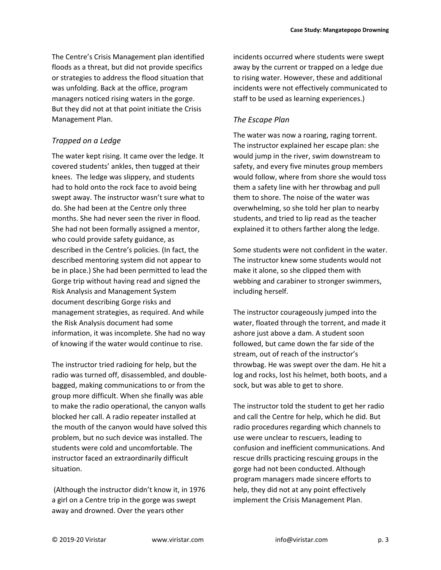was unfolding. Back at the office, program managers noticed rising waters in the gorge. But they did not at that point initiate the Crisis Management Plan.

#### *Trapped on a Ledge*

The water kept rising. It came over the ledge. It covered students' ankles, then tugged at their knees. The ledge was slippery, and students had to hold onto the rock face to avoid being swept away. The instructor wasn't sure what to do. She had been at the Centre only three months. She had never seen the river in flood. She had not been formally assigned a mentor, who could provide safety guidance, as described in the Centre's policies. (In fact, the described mentoring system did not appear to be in place.) She had been permitted to lead the Gorge trip without having read and signed the Risk Analysis and Management System document describing Gorge risks and management strategies, as required. And while the Risk Analysis document had some information, it was incomplete. She had no way of knowing if the water would continue to rise.

The instructor tried radioing for help, but the radio was turned off, disassembled, and double‐ bagged, making communications to or from the group more difficult. When she finally was able to make the radio operational, the canyon walls blocked her call. A radio repeater installed at the mouth of the canyon would have solved this problem, but no such device was installed. The students were cold and uncomfortable. The instructor faced an extraordinarily difficult situation.

 (Although the instructor didn't know it, in 1976 a girl on a Centre trip in the gorge was swept away and drowned. Over the years other

incidents occurred where students were swept away by the current or trapped on a ledge due to rising water. However, these and additional incidents were not effectively communicated to staff to be used as learning experiences.)

#### *The Escape Plan*

The water was now a roaring, raging torrent. The instructor explained her escape plan: she would jump in the river, swim downstream to safety, and every five minutes group members would follow, where from shore she would toss them a safety line with her throwbag and pull them to shore. The noise of the water was overwhelming, so she told her plan to nearby students, and tried to lip read as the teacher explained it to others farther along the ledge.

Some students were not confident in the water. The instructor knew some students would not make it alone, so she clipped them with webbing and carabiner to stronger swimmers, including herself.

The instructor courageously jumped into the water, floated through the torrent, and made it ashore just above a dam. A student soon followed, but came down the far side of the stream, out of reach of the instructor's throwbag. He was swept over the dam. He hit a log and rocks, lost his helmet, both boots, and a sock, but was able to get to shore.

The instructor told the student to get her radio and call the Centre for help, which he did. But radio procedures regarding which channels to use were unclear to rescuers, leading to confusion and inefficient communications. And rescue drills practicing rescuing groups in the gorge had not been conducted. Although program managers made sincere efforts to help, they did not at any point effectively implement the Crisis Management Plan.